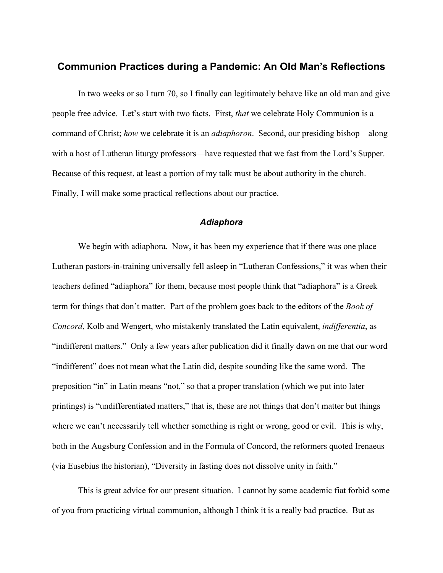# **Communion Practices during a Pandemic: An Old Man's Reflections**

In two weeks or so I turn 70, so I finally can legitimately behave like an old man and give people free advice. Let's start with two facts. First, *that* we celebrate Holy Communion is a command of Christ; *how* we celebrate it is an *adiaphoron*. Second, our presiding bishop—along with a host of Lutheran liturgy professors—have requested that we fast from the Lord's Supper. Because of this request, at least a portion of my talk must be about authority in the church. Finally, I will make some practical reflections about our practice.

## *Adiaphora*

We begin with adiaphora. Now, it has been my experience that if there was one place Lutheran pastors-in-training universally fell asleep in "Lutheran Confessions," it was when their teachers defined "adiaphora" for them, because most people think that "adiaphora" is a Greek term for things that don't matter. Part of the problem goes back to the editors of the *Book of Concord*, Kolb and Wengert, who mistakenly translated the Latin equivalent, *indifferentia*, as "indifferent matters." Only a few years after publication did it finally dawn on me that our word "indifferent" does not mean what the Latin did, despite sounding like the same word. The preposition "in" in Latin means "not," so that a proper translation (which we put into later printings) is "undifferentiated matters," that is, these are not things that don't matter but things where we can't necessarily tell whether something is right or wrong, good or evil. This is why, both in the Augsburg Confession and in the Formula of Concord, the reformers quoted Irenaeus (via Eusebius the historian), "Diversity in fasting does not dissolve unity in faith."

This is great advice for our present situation. I cannot by some academic fiat forbid some of you from practicing virtual communion, although I think it is a really bad practice. But as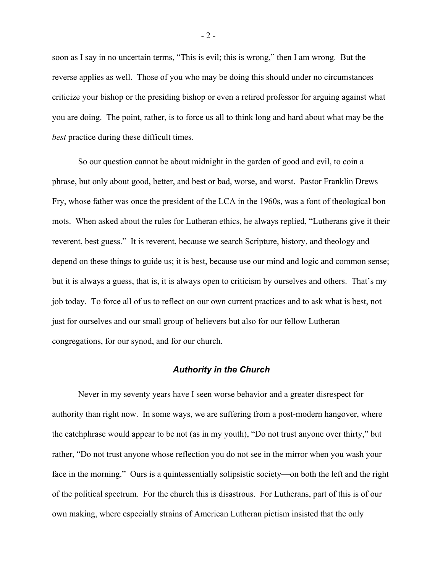soon as I say in no uncertain terms, "This is evil; this is wrong," then I am wrong. But the reverse applies as well. Those of you who may be doing this should under no circumstances criticize your bishop or the presiding bishop or even a retired professor for arguing against what you are doing. The point, rather, is to force us all to think long and hard about what may be the *best* practice during these difficult times.

So our question cannot be about midnight in the garden of good and evil, to coin a phrase, but only about good, better, and best or bad, worse, and worst. Pastor Franklin Drews Fry, whose father was once the president of the LCA in the 1960s, was a font of theological bon mots. When asked about the rules for Lutheran ethics, he always replied, "Lutherans give it their reverent, best guess." It is reverent, because we search Scripture, history, and theology and depend on these things to guide us; it is best, because use our mind and logic and common sense; but it is always a guess, that is, it is always open to criticism by ourselves and others. That's my job today. To force all of us to reflect on our own current practices and to ask what is best, not just for ourselves and our small group of believers but also for our fellow Lutheran congregations, for our synod, and for our church.

## *Authority in the Church*

Never in my seventy years have I seen worse behavior and a greater disrespect for authority than right now. In some ways, we are suffering from a post-modern hangover, where the catchphrase would appear to be not (as in my youth), "Do not trust anyone over thirty," but rather, "Do not trust anyone whose reflection you do not see in the mirror when you wash your face in the morning." Ours is a quintessentially solipsistic society—on both the left and the right of the political spectrum. For the church this is disastrous. For Lutherans, part of this is of our own making, where especially strains of American Lutheran pietism insisted that the only

 $-2-$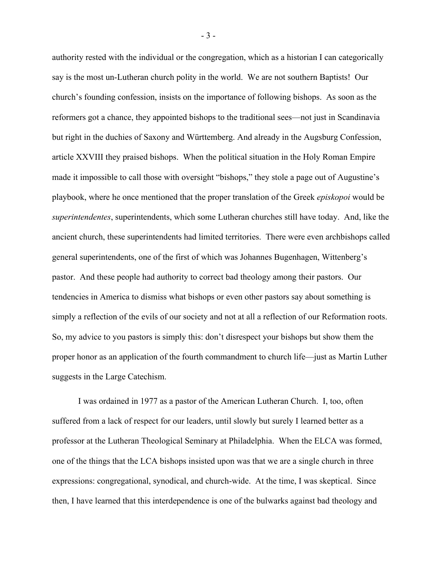authority rested with the individual or the congregation, which as a historian I can categorically say is the most un-Lutheran church polity in the world. We are not southern Baptists! Our church's founding confession, insists on the importance of following bishops. As soon as the reformers got a chance, they appointed bishops to the traditional sees—not just in Scandinavia but right in the duchies of Saxony and Württemberg. And already in the Augsburg Confession, article XXVIII they praised bishops. When the political situation in the Holy Roman Empire made it impossible to call those with oversight "bishops," they stole a page out of Augustine's playbook, where he once mentioned that the proper translation of the Greek *episkopoi* would be *superintendentes*, superintendents, which some Lutheran churches still have today. And, like the ancient church, these superintendents had limited territories. There were even archbishops called general superintendents, one of the first of which was Johannes Bugenhagen, Wittenberg's pastor. And these people had authority to correct bad theology among their pastors. Our tendencies in America to dismiss what bishops or even other pastors say about something is simply a reflection of the evils of our society and not at all a reflection of our Reformation roots. So, my advice to you pastors is simply this: don't disrespect your bishops but show them the proper honor as an application of the fourth commandment to church life—just as Martin Luther suggests in the Large Catechism.

I was ordained in 1977 as a pastor of the American Lutheran Church. I, too, often suffered from a lack of respect for our leaders, until slowly but surely I learned better as a professor at the Lutheran Theological Seminary at Philadelphia. When the ELCA was formed, one of the things that the LCA bishops insisted upon was that we are a single church in three expressions: congregational, synodical, and church-wide. At the time, I was skeptical. Since then, I have learned that this interdependence is one of the bulwarks against bad theology and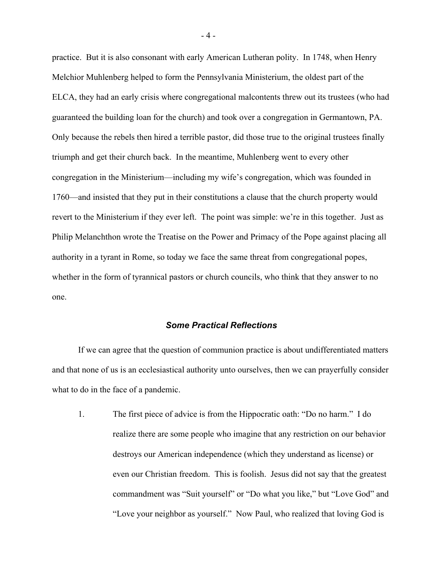practice. But it is also consonant with early American Lutheran polity. In 1748, when Henry Melchior Muhlenberg helped to form the Pennsylvania Ministerium, the oldest part of the ELCA, they had an early crisis where congregational malcontents threw out its trustees (who had guaranteed the building loan for the church) and took over a congregation in Germantown, PA. Only because the rebels then hired a terrible pastor, did those true to the original trustees finally triumph and get their church back. In the meantime, Muhlenberg went to every other congregation in the Ministerium—including my wife's congregation, which was founded in 1760—and insisted that they put in their constitutions a clause that the church property would revert to the Ministerium if they ever left. The point was simple: we're in this together. Just as Philip Melanchthon wrote the Treatise on the Power and Primacy of the Pope against placing all authority in a tyrant in Rome, so today we face the same threat from congregational popes, whether in the form of tyrannical pastors or church councils, who think that they answer to no one.

## *Some Practical Reflections*

If we can agree that the question of communion practice is about undifferentiated matters and that none of us is an ecclesiastical authority unto ourselves, then we can prayerfully consider what to do in the face of a pandemic.

1. The first piece of advice is from the Hippocratic oath: "Do no harm." I do realize there are some people who imagine that any restriction on our behavior destroys our American independence (which they understand as license) or even our Christian freedom. This is foolish. Jesus did not say that the greatest commandment was "Suit yourself" or "Do what you like," but "Love God" and "Love your neighbor as yourself." Now Paul, who realized that loving God is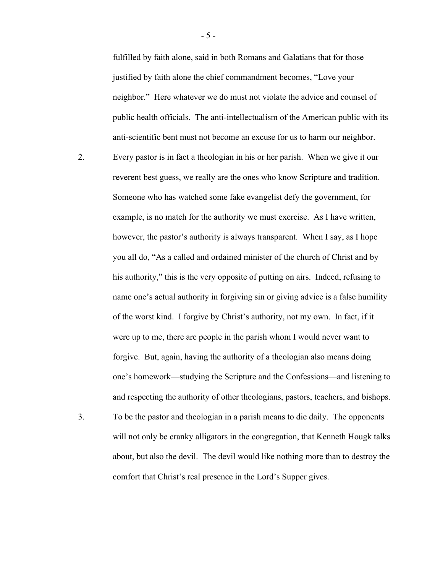fulfilled by faith alone, said in both Romans and Galatians that for those justified by faith alone the chief commandment becomes, "Love your neighbor." Here whatever we do must not violate the advice and counsel of public health officials. The anti-intellectualism of the American public with its anti-scientific bent must not become an excuse for us to harm our neighbor.

- 2. Every pastor is in fact a theologian in his or her parish. When we give it our reverent best guess, we really are the ones who know Scripture and tradition. Someone who has watched some fake evangelist defy the government, for example, is no match for the authority we must exercise. As I have written, however, the pastor's authority is always transparent. When I say, as I hope you all do, "As a called and ordained minister of the church of Christ and by his authority," this is the very opposite of putting on airs. Indeed, refusing to name one's actual authority in forgiving sin or giving advice is a false humility of the worst kind. I forgive by Christ's authority, not my own. In fact, if it were up to me, there are people in the parish whom I would never want to forgive. But, again, having the authority of a theologian also means doing one's homework—studying the Scripture and the Confessions—and listening to and respecting the authority of other theologians, pastors, teachers, and bishops.
- 3. To be the pastor and theologian in a parish means to die daily. The opponents will not only be cranky alligators in the congregation, that Kenneth Hougk talks about, but also the devil. The devil would like nothing more than to destroy the comfort that Christ's real presence in the Lord's Supper gives.

- 5 -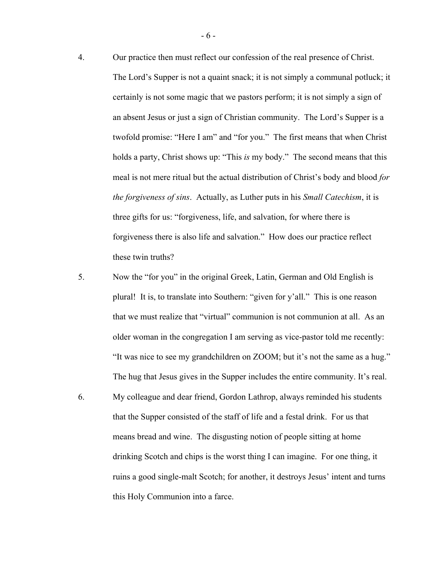- 4. Our practice then must reflect our confession of the real presence of Christ.
	- The Lord's Supper is not a quaint snack; it is not simply a communal potluck; it certainly is not some magic that we pastors perform; it is not simply a sign of an absent Jesus or just a sign of Christian community. The Lord's Supper is a twofold promise: "Here I am" and "for you." The first means that when Christ holds a party, Christ shows up: "This *is* my body." The second means that this meal is not mere ritual but the actual distribution of Christ's body and blood *for the forgiveness of sins*. Actually, as Luther puts in his *Small Catechism*, it is three gifts for us: "forgiveness, life, and salvation, for where there is forgiveness there is also life and salvation." How does our practice reflect these twin truths?
- 5. Now the "for you" in the original Greek, Latin, German and Old English is plural! It is, to translate into Southern: "given for y'all." This is one reason that we must realize that "virtual" communion is not communion at all. As an older woman in the congregation I am serving as vice-pastor told me recently: "It was nice to see my grandchildren on ZOOM; but it's not the same as a hug." The hug that Jesus gives in the Supper includes the entire community. It's real.
- 6. My colleague and dear friend, Gordon Lathrop, always reminded his students that the Supper consisted of the staff of life and a festal drink. For us that means bread and wine. The disgusting notion of people sitting at home drinking Scotch and chips is the worst thing I can imagine. For one thing, it ruins a good single-malt Scotch; for another, it destroys Jesus' intent and turns this Holy Communion into a farce.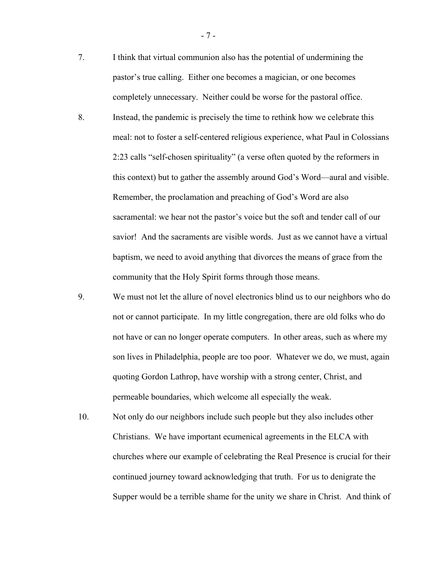- 7. I think that virtual communion also has the potential of undermining the pastor's true calling. Either one becomes a magician, or one becomes completely unnecessary. Neither could be worse for the pastoral office.
- 8. Instead, the pandemic is precisely the time to rethink how we celebrate this meal: not to foster a self-centered religious experience, what Paul in Colossians 2:23 calls "self-chosen spirituality" (a verse often quoted by the reformers in this context) but to gather the assembly around God's Word—aural and visible. Remember, the proclamation and preaching of God's Word are also sacramental: we hear not the pastor's voice but the soft and tender call of our savior! And the sacraments are visible words. Just as we cannot have a virtual baptism, we need to avoid anything that divorces the means of grace from the community that the Holy Spirit forms through those means.
- 9. We must not let the allure of novel electronics blind us to our neighbors who do not or cannot participate. In my little congregation, there are old folks who do not have or can no longer operate computers. In other areas, such as where my son lives in Philadelphia, people are too poor. Whatever we do, we must, again quoting Gordon Lathrop, have worship with a strong center, Christ, and permeable boundaries, which welcome all especially the weak.
- 10. Not only do our neighbors include such people but they also includes other Christians. We have important ecumenical agreements in the ELCA with churches where our example of celebrating the Real Presence is crucial for their continued journey toward acknowledging that truth. For us to denigrate the Supper would be a terrible shame for the unity we share in Christ. And think of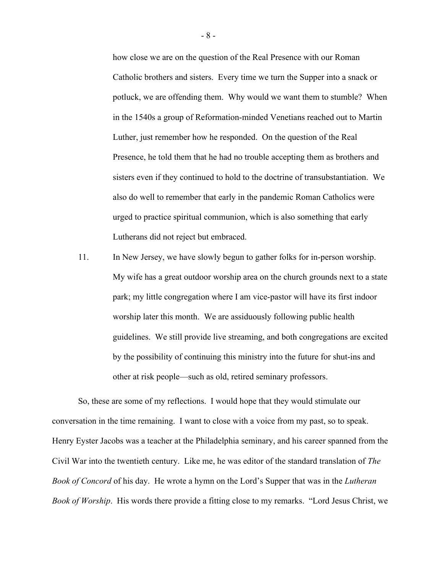how close we are on the question of the Real Presence with our Roman Catholic brothers and sisters. Every time we turn the Supper into a snack or potluck, we are offending them. Why would we want them to stumble? When in the 1540s a group of Reformation-minded Venetians reached out to Martin Luther, just remember how he responded. On the question of the Real Presence, he told them that he had no trouble accepting them as brothers and sisters even if they continued to hold to the doctrine of transubstantiation. We also do well to remember that early in the pandemic Roman Catholics were urged to practice spiritual communion, which is also something that early Lutherans did not reject but embraced.

11. In New Jersey, we have slowly begun to gather folks for in-person worship. My wife has a great outdoor worship area on the church grounds next to a state park; my little congregation where I am vice-pastor will have its first indoor worship later this month. We are assiduously following public health guidelines. We still provide live streaming, and both congregations are excited by the possibility of continuing this ministry into the future for shut-ins and other at risk people—such as old, retired seminary professors.

So, these are some of my reflections. I would hope that they would stimulate our conversation in the time remaining. I want to close with a voice from my past, so to speak. Henry Eyster Jacobs was a teacher at the Philadelphia seminary, and his career spanned from the Civil War into the twentieth century. Like me, he was editor of the standard translation of *The Book of Concord* of his day. He wrote a hymn on the Lord's Supper that was in the *Lutheran Book of Worship*. His words there provide a fitting close to my remarks. "Lord Jesus Christ, we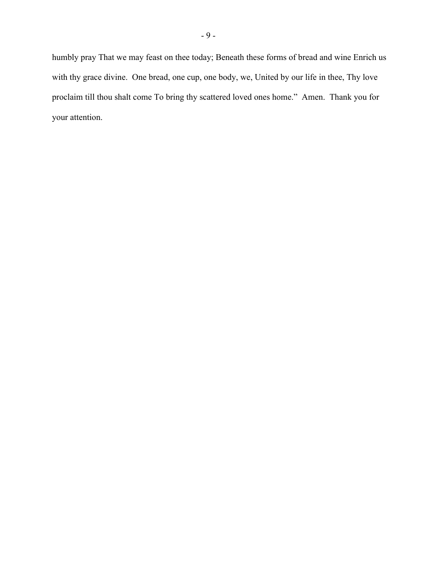humbly pray That we may feast on thee today; Beneath these forms of bread and wine Enrich us with thy grace divine. One bread, one cup, one body, we, United by our life in thee, Thy love proclaim till thou shalt come To bring thy scattered loved ones home." Amen. Thank you for your attention.